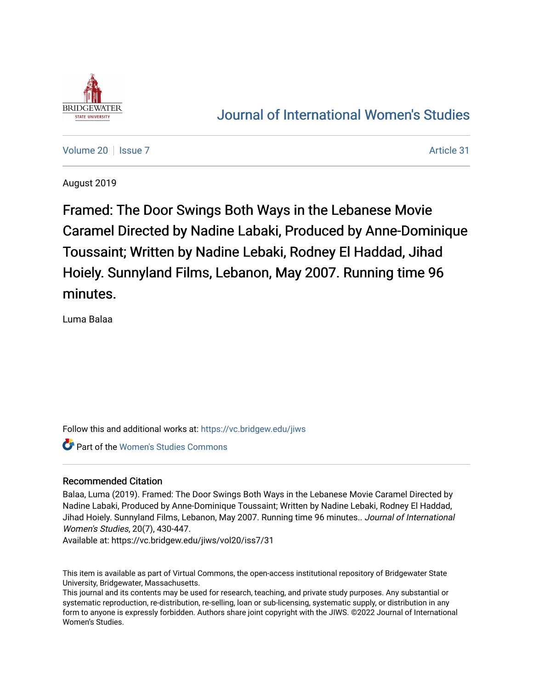

# [Journal of International Women's Studies](https://vc.bridgew.edu/jiws)

[Volume 20](https://vc.bridgew.edu/jiws/vol20) | [Issue 7](https://vc.bridgew.edu/jiws/vol20/iss7) Article 31

August 2019

Framed: The Door Swings Both Ways in the Lebanese Movie Caramel Directed by Nadine Labaki, Produced by Anne-Dominique Toussaint; Written by Nadine Lebaki, Rodney El Haddad, Jihad Hoiely. Sunnyland Films, Lebanon, May 2007. Running time 96 minutes.

Luma Balaa

Follow this and additional works at: [https://vc.bridgew.edu/jiws](https://vc.bridgew.edu/jiws?utm_source=vc.bridgew.edu%2Fjiws%2Fvol20%2Fiss7%2F31&utm_medium=PDF&utm_campaign=PDFCoverPages)

**Part of the Women's Studies Commons** 

# Recommended Citation

Balaa, Luma (2019). Framed: The Door Swings Both Ways in the Lebanese Movie Caramel Directed by Nadine Labaki, Produced by Anne-Dominique Toussaint; Written by Nadine Lebaki, Rodney El Haddad, Jihad Hoiely. Sunnyland Films, Lebanon, May 2007. Running time 96 minutes.. Journal of International Women's Studies, 20(7), 430-447.

Available at: https://vc.bridgew.edu/jiws/vol20/iss7/31

This item is available as part of Virtual Commons, the open-access institutional repository of Bridgewater State University, Bridgewater, Massachusetts.

This journal and its contents may be used for research, teaching, and private study purposes. Any substantial or systematic reproduction, re-distribution, re-selling, loan or sub-licensing, systematic supply, or distribution in any form to anyone is expressly forbidden. Authors share joint copyright with the JIWS. ©2022 Journal of International Women's Studies.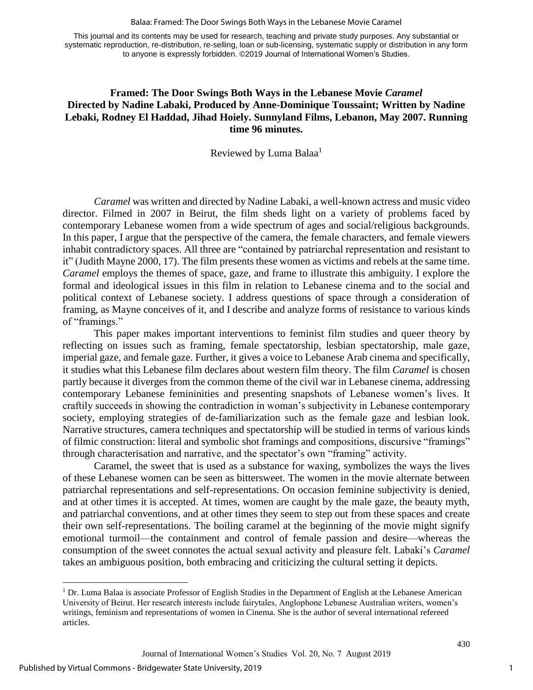#### Balaa: Framed: The Door Swings Both Ways in the Lebanese Movie Caramel

This journal and its contents may be used for research, teaching and private study purposes. Any substantial or systematic reproduction, re-distribution, re-selling, loan or sub-licensing, systematic supply or distribution in any form to anyone is expressly forbidden. ©2019 Journal of International Women's Studies.

# **Framed: The Door Swings Both Ways in the Lebanese Movie** *Caramel* **Directed by Nadine Labaki, Produced by Anne-Dominique Toussaint; Written by Nadine Lebaki, Rodney El Haddad, Jihad Hoiely. Sunnyland Films, Lebanon, May 2007. Running time 96 minutes.**

Reviewed by Luma Balaa<sup>1</sup>

*Caramel* was written and directed by Nadine Labaki, a well-known actress and music video director. Filmed in 2007 in Beirut, the film sheds light on a variety of problems faced by contemporary Lebanese women from a wide spectrum of ages and social/religious backgrounds. In this paper, I argue that the perspective of the camera, the female characters, and female viewers inhabit contradictory spaces. All three are "contained by patriarchal representation and resistant to it" (Judith Mayne 2000, 17). The film presents these women as victims and rebels at the same time. *Caramel* employs the themes of space, gaze, and frame to illustrate this ambiguity. I explore the formal and ideological issues in this film in relation to Lebanese cinema and to the social and political context of Lebanese society. I address questions of space through a consideration of framing, as Mayne conceives of it, and I describe and analyze forms of resistance to various kinds of "framings."

This paper makes important interventions to feminist film studies and queer theory by reflecting on issues such as framing, female spectatorship, lesbian spectatorship, male gaze, imperial gaze, and female gaze. Further, it gives a voice to Lebanese Arab cinema and specifically, it studies what this Lebanese film declares about western film theory. The film *Caramel* is chosen partly because it diverges from the common theme of the civil war in Lebanese cinema, addressing contemporary Lebanese femininities and presenting snapshots of Lebanese women's lives. It craftily succeeds in showing the contradiction in woman's subjectivity in Lebanese contemporary society, employing strategies of de-familiarization such as the female gaze and lesbian look. Narrative structures, camera techniques and spectatorship will be studied in terms of various kinds of filmic construction: literal and symbolic shot framings and compositions, discursive "framings" through characterisation and narrative, and the spectator's own "framing" activity.

Caramel, the sweet that is used as a substance for waxing, symbolizes the ways the lives of these Lebanese women can be seen as bittersweet. The women in the movie alternate between patriarchal representations and self-representations. On occasion feminine subjectivity is denied, and at other times it is accepted. At times, women are caught by the male gaze, the beauty myth, and patriarchal conventions, and at other times they seem to step out from these spaces and create their own self-representations. The boiling caramel at the beginning of the movie might signify emotional turmoil—the containment and control of female passion and desire—whereas the consumption of the sweet connotes the actual sexual activity and pleasure felt. Labaki's *Caramel* takes an ambiguous position, both embracing and criticizing the cultural setting it depicts.

 $\overline{a}$ 

<sup>&</sup>lt;sup>1</sup> Dr. Luma Balaa is associate Professor of English Studies in the Department of English at the Lebanese American University of Beirut. Her research interests include fairytales, Anglophone Lebanese Australian writers, women's writings, feminism and representations of women in Cinema. She is the author of several international refereed articles.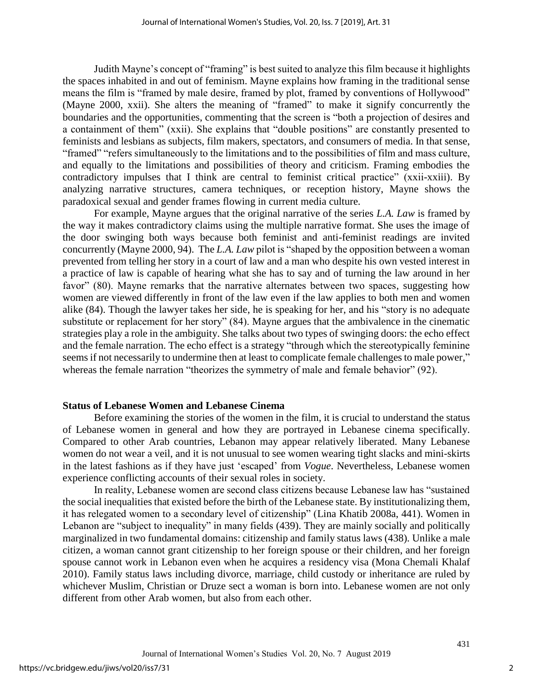Judith Mayne's concept of "framing" is best suited to analyze this film because it highlights the spaces inhabited in and out of feminism. Mayne explains how framing in the traditional sense means the film is "framed by male desire, framed by plot, framed by conventions of Hollywood" (Mayne 2000, xxii). She alters the meaning of "framed" to make it signify concurrently the boundaries and the opportunities, commenting that the screen is "both a projection of desires and a containment of them" (xxii). She explains that "double positions" are constantly presented to feminists and lesbians as subjects, film makers, spectators, and consumers of media. In that sense, "framed" "refers simultaneously to the limitations and to the possibilities of film and mass culture, and equally to the limitations and possibilities of theory and criticism. Framing embodies the contradictory impulses that I think are central to feminist critical practice" (xxii-xxiii). By analyzing narrative structures, camera techniques, or reception history, Mayne shows the paradoxical sexual and gender frames flowing in current media culture.

For example, Mayne argues that the original narrative of the series *L.A. Law* is framed by the way it makes contradictory claims using the multiple narrative format. She uses the image of the door swinging both ways because both feminist and anti-feminist readings are invited concurrently (Mayne 2000, 94). The *L.A. Law* pilot is "shaped by the opposition between a woman prevented from telling her story in a court of law and a man who despite his own vested interest in a practice of law is capable of hearing what she has to say and of turning the law around in her favor" (80). Mayne remarks that the narrative alternates between two spaces, suggesting how women are viewed differently in front of the law even if the law applies to both men and women alike (84). Though the lawyer takes her side, he is speaking for her, and his "story is no adequate substitute or replacement for her story" (84). Mayne argues that the ambivalence in the cinematic strategies play a role in the ambiguity. She talks about two types of swinging doors: the echo effect and the female narration. The echo effect is a strategy "through which the stereotypically feminine seems if not necessarily to undermine then at least to complicate female challenges to male power," whereas the female narration "theorizes the symmetry of male and female behavior" (92).

#### **Status of Lebanese Women and Lebanese Cinema**

Before examining the stories of the women in the film, it is crucial to understand the status of Lebanese women in general and how they are portrayed in Lebanese cinema specifically. Compared to other Arab countries, Lebanon may appear relatively liberated. Many Lebanese women do not wear a veil, and it is not unusual to see women wearing tight slacks and mini-skirts in the latest fashions as if they have just 'escaped' from *Vogue*. Nevertheless, Lebanese women experience conflicting accounts of their sexual roles in society.

In reality, Lebanese women are second class citizens because Lebanese law has "sustained the social inequalities that existed before the birth of the Lebanese state. By institutionalizing them, it has relegated women to a secondary level of citizenship" (Lina Khatib 2008a, 441). Women in Lebanon are "subject to inequality" in many fields (439). They are mainly socially and politically marginalized in two fundamental domains: citizenship and family status laws (438). Unlike a male citizen, a woman cannot grant citizenship to her foreign spouse or their children, and her foreign spouse cannot work in Lebanon even when he acquires a residency visa (Mona Chemali Khalaf 2010). Family status laws including divorce, marriage, child custody or inheritance are ruled by whichever Muslim, Christian or Druze sect a woman is born into. Lebanese women are not only different from other Arab women, but also from each other.

2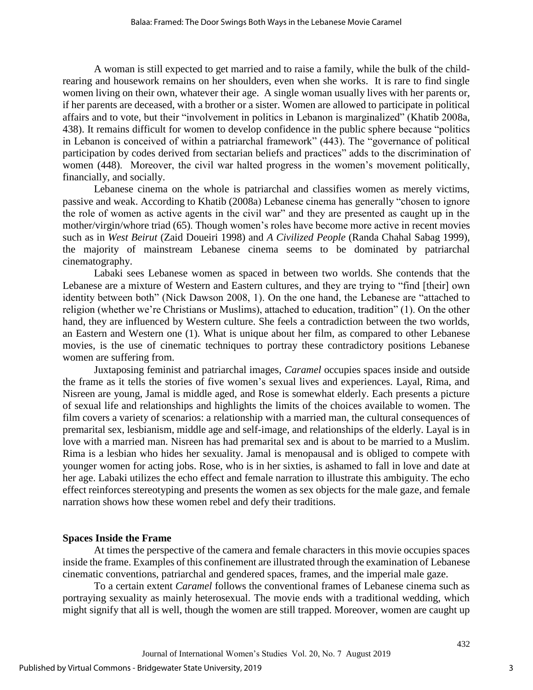A woman is still expected to get married and to raise a family, while the bulk of the childrearing and housework remains on her shoulders, even when she works. It is rare to find single women living on their own, whatever their age. A single woman usually lives with her parents or, if her parents are deceased, with a brother or a sister. Women are allowed to participate in political affairs and to vote, but their "involvement in politics in Lebanon is marginalized" (Khatib 2008a, 438). It remains difficult for women to develop confidence in the public sphere because "politics in Lebanon is conceived of within a patriarchal framework" (443). The "governance of political participation by codes derived from sectarian beliefs and practices" adds to the discrimination of women (448). Moreover, the civil war halted progress in the women's movement politically, financially, and socially.

Lebanese cinema on the whole is patriarchal and classifies women as merely victims, passive and weak. According to Khatib (2008a) Lebanese cinema has generally "chosen to ignore the role of women as active agents in the civil war" and they are presented as caught up in the mother/virgin/whore triad (65). Though women's roles have become more active in recent movies such as in *West Beirut* (Zaid Doueiri 1998) and *A Civilized People* (Randa Chahal Sabag 1999), the majority of mainstream Lebanese cinema seems to be dominated by patriarchal cinematography.

Labaki sees Lebanese women as spaced in between two worlds. She contends that the Lebanese are a mixture of Western and Eastern cultures, and they are trying to "find [their] own identity between both" (Nick Dawson 2008, 1). On the one hand, the Lebanese are "attached to religion (whether we're Christians or Muslims), attached to education, tradition" (1). On the other hand, they are influenced by Western culture. She feels a contradiction between the two worlds, an Eastern and Western one (1). What is unique about her film, as compared to other Lebanese movies, is the use of cinematic techniques to portray these contradictory positions Lebanese women are suffering from.

Juxtaposing feminist and patriarchal images, *Caramel* occupies spaces inside and outside the frame as it tells the stories of five women's sexual lives and experiences. Layal, Rima, and Nisreen are young, Jamal is middle aged, and Rose is somewhat elderly. Each presents a picture of sexual life and relationships and highlights the limits of the choices available to women. The film covers a variety of scenarios: a relationship with a married man, the cultural consequences of premarital sex, lesbianism, middle age and self-image, and relationships of the elderly. Layal is in love with a married man. Nisreen has had premarital sex and is about to be married to a Muslim. Rima is a lesbian who hides her sexuality. Jamal is menopausal and is obliged to compete with younger women for acting jobs. Rose, who is in her sixties, is ashamed to fall in love and date at her age. Labaki utilizes the echo effect and female narration to illustrate this ambiguity. The echo effect reinforces stereotyping and presents the women as sex objects for the male gaze, and female narration shows how these women rebel and defy their traditions.

#### **Spaces Inside the Frame**

At times the perspective of the camera and female characters in this movie occupies spaces inside the frame. Examples of this confinement are illustrated through the examination of Lebanese cinematic conventions, patriarchal and gendered spaces, frames, and the imperial male gaze.

To a certain extent *Caramel* follows the conventional frames of Lebanese cinema such as portraying sexuality as mainly heterosexual. The movie ends with a traditional wedding, which might signify that all is well, though the women are still trapped. Moreover, women are caught up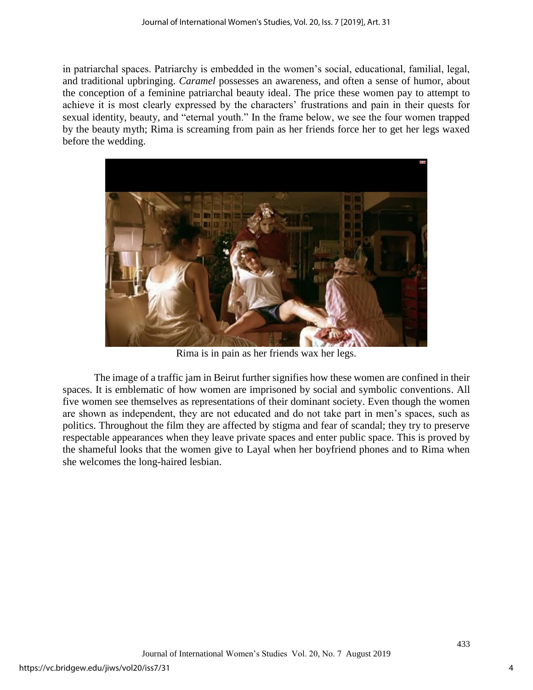in patriarchal spaces. Patriarchy is embedded in the women's social, educational, familial, legal, and traditional upbringing. *Caramel* possesses an awareness, and often a sense of humor, about the conception of a feminine patriarchal beauty ideal. The price these women pay to attempt to achieve it is most clearly expressed by the characters' frustrations and pain in their quests for sexual identity, beauty, and "eternal youth." In the frame below, we see the four women trapped by the beauty myth; Rima is screaming from pain as her friends force her to get her legs waxed before the wedding.



Rima is in pain as her friends wax her legs.

The image of a traffic jam in Beirut further signifies how these women are confined in their spaces. It is emblematic of how women are imprisoned by social and symbolic conventions. All five women see themselves as representations of their dominant society. Even though the women are shown as independent, they are not educated and do not take part in men's spaces, such as politics. Throughout the film they are affected by stigma and fear of scandal; they try to preserve respectable appearances when they leave private spaces and enter public space. This is proved by the shameful looks that the women give to Layal when her boyfriend phones and to Rima when she welcomes the long-haired lesbian.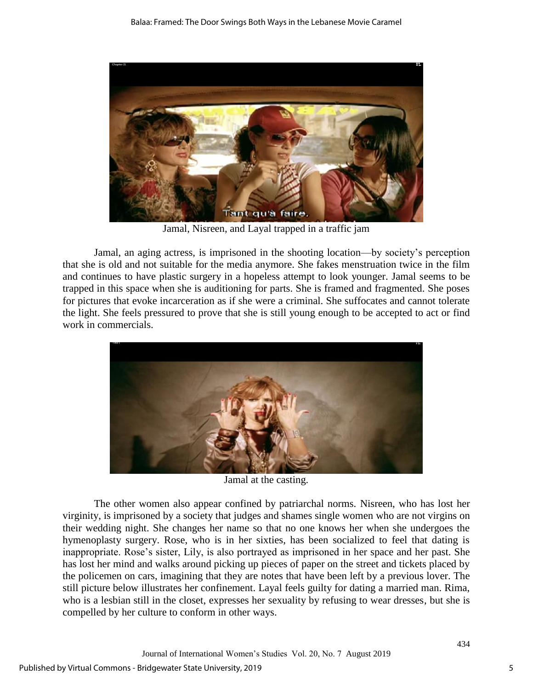

Jamal, Nisreen, and Layal trapped in a traffic jam

Jamal, an aging actress, is imprisoned in the shooting location—by society's perception that she is old and not suitable for the media anymore. She fakes menstruation twice in the film and continues to have plastic surgery in a hopeless attempt to look younger. Jamal seems to be trapped in this space when she is auditioning for parts. She is framed and fragmented. She poses for pictures that evoke incarceration as if she were a criminal. She suffocates and cannot tolerate the light. She feels pressured to prove that she is still young enough to be accepted to act or find work in commercials.



Jamal at the casting.

The other women also appear confined by patriarchal norms. Nisreen, who has lost her virginity, is imprisoned by a society that judges and shames single women who are not virgins on their wedding night. She changes her name so that no one knows her when she undergoes the hymenoplasty surgery. Rose, who is in her sixties, has been socialized to feel that dating is inappropriate. Rose's sister, Lily, is also portrayed as imprisoned in her space and her past. She has lost her mind and walks around picking up pieces of paper on the street and tickets placed by the policemen on cars, imagining that they are notes that have been left by a previous lover. The still picture below illustrates her confinement. Layal feels guilty for dating a married man. Rima, who is a lesbian still in the closet, expresses her sexuality by refusing to wear dresses, but she is compelled by her culture to conform in other ways.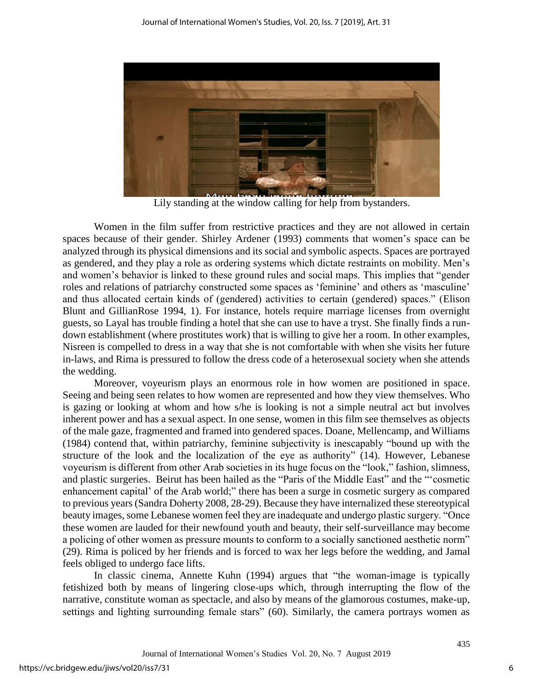

Lily standing at the window calling for help from bystanders.

Women in the film suffer from restrictive practices and they are not allowed in certain spaces because of their gender. Shirley Ardener (1993) comments that women's space can be analyzed through its physical dimensions and its social and symbolic aspects. Spaces are portrayed as gendered, and they play a role as ordering systems which dictate restraints on mobility. Men's and women's behavior is linked to these ground rules and social maps. This implies that "gender roles and relations of patriarchy constructed some spaces as 'feminine' and others as 'masculine' and thus allocated certain kinds of (gendered) activities to certain (gendered) spaces." (Elison Blunt and GillianRose 1994, 1). For instance, hotels require marriage licenses from overnight guests, so Layal has trouble finding a hotel that she can use to have a tryst. She finally finds a rundown establishment (where prostitutes work) that is willing to give her a room. In other examples, Nisreen is compelled to dress in a way that she is not comfortable with when she visits her future in-laws, and Rima is pressured to follow the dress code of a heterosexual society when she attends the wedding.

Moreover, voyeurism plays an enormous role in how women are positioned in space. Seeing and being seen relates to how women are represented and how they view themselves. Who is gazing or looking at whom and how s/he is looking is not a simple neutral act but involves inherent power and has a sexual aspect. In one sense, women in this film see themselves as objects of the male gaze, fragmented and framed into gendered spaces. Doane, Mellencamp, and Williams (1984) contend that, within patriarchy, feminine subjectivity is inescapably "bound up with the structure of the look and the localization of the eye as authority" (14). However, Lebanese voyeurism is different from other Arab societies in its huge focus on the "look," fashion, slimness, and plastic surgeries. Beirut has been hailed as the "Paris of the Middle East" and the "'cosmetic enhancement capital' of the Arab world;" there has been a surge in cosmetic surgery as compared to previous years (Sandra Doherty 2008, 28-29). Because they have internalized these stereotypical beauty images, some Lebanese women feel they are inadequate and undergo plastic surgery. "Once these women are lauded for their newfound youth and beauty, their self-surveillance may become a policing of other women as pressure mounts to conform to a socially sanctioned aesthetic norm" (29). Rima is policed by her friends and is forced to wax her legs before the wedding, and Jamal feels obliged to undergo face lifts.

In classic cinema, Annette Kuhn (1994) argues that "the woman-image is typically fetishized both by means of lingering close-ups which, through interrupting the flow of the narrative, constitute woman as spectacle, and also by means of the glamorous costumes, make-up, settings and lighting surrounding female stars" (60). Similarly, the camera portrays women as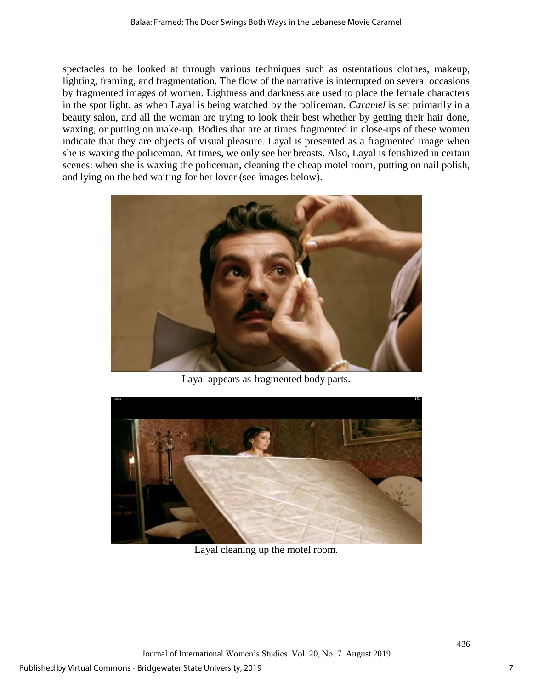spectacles to be looked at through various techniques such as ostentatious clothes, makeup, lighting, framing, and fragmentation. The flow of the narrative is interrupted on several occasions by fragmented images of women. Lightness and darkness are used to place the female characters in the spot light, as when Layal is being watched by the policeman. *Caramel* is set primarily in a beauty salon, and all the woman are trying to look their best whether by getting their hair done, waxing, or putting on make-up. Bodies that are at times fragmented in close-ups of these women indicate that they are objects of visual pleasure. Layal is presented as a fragmented image when she is waxing the policeman. At times, we only see her breasts. Also, Layal is fetishized in certain scenes: when she is waxing the policeman, cleaning the cheap motel room, putting on nail polish, and lying on the bed waiting for her lover (see images below).



Layal appears as fragmented body parts.



Layal cleaning up the motel room.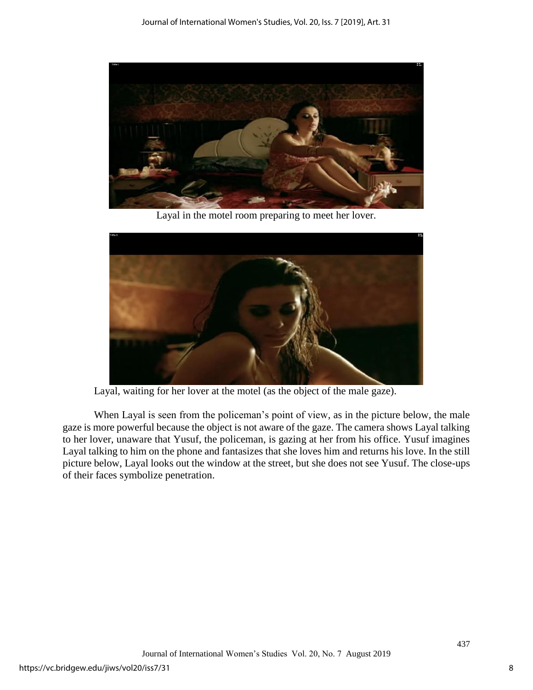

Layal in the motel room preparing to meet her lover.



Layal, waiting for her lover at the motel (as the object of the male gaze).

When Layal is seen from the policeman's point of view, as in the picture below, the male gaze is more powerful because the object is not aware of the gaze. The camera shows Layal talking to her lover, unaware that Yusuf, the policeman, is gazing at her from his office. Yusuf imagines Layal talking to him on the phone and fantasizes that she loves him and returns his love. In the still picture below, Layal looks out the window at the street, but she does not see Yusuf. The close-ups of their faces symbolize penetration.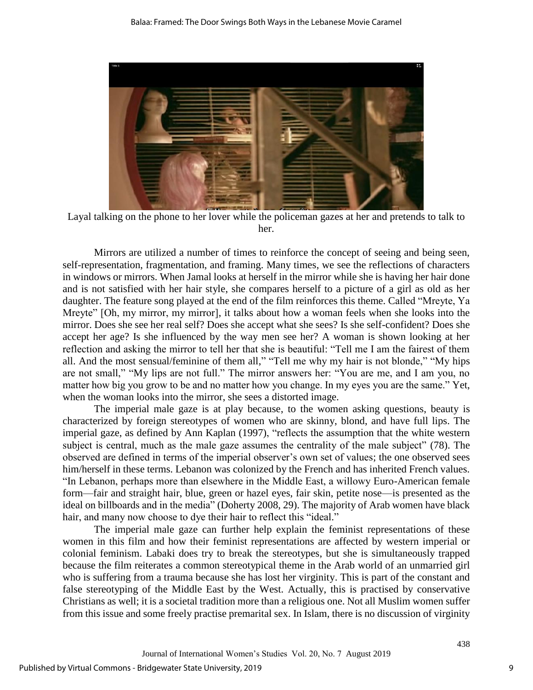

Layal talking on the phone to her lover while the policeman gazes at her and pretends to talk to her.

Mirrors are utilized a number of times to reinforce the concept of seeing and being seen, self-representation, fragmentation, and framing. Many times, we see the reflections of characters in windows or mirrors. When Jamal looks at herself in the mirror while she is having her hair done and is not satisfied with her hair style, she compares herself to a picture of a girl as old as her daughter. The feature song played at the end of the film reinforces this theme. Called "Mreyte, Ya Mreyte" [Oh, my mirror, my mirror], it talks about how a woman feels when she looks into the mirror. Does she see her real self? Does she accept what she sees? Is she self-confident? Does she accept her age? Is she influenced by the way men see her? A woman is shown looking at her reflection and asking the mirror to tell her that she is beautiful: "Tell me I am the fairest of them all. And the most sensual/feminine of them all," "Tell me why my hair is not blonde," "My hips are not small," "My lips are not full." The mirror answers her: "You are me, and I am you, no matter how big you grow to be and no matter how you change. In my eyes you are the same." Yet, when the woman looks into the mirror, she sees a distorted image.

The imperial male gaze is at play because, to the women asking questions, beauty is characterized by foreign stereotypes of women who are skinny, blond, and have full lips. The imperial gaze, as defined by Ann Kaplan (1997), "reflects the assumption that the white western subject is central, much as the male gaze assumes the centrality of the male subject" (78). The observed are defined in terms of the imperial observer's own set of values; the one observed sees him/herself in these terms. Lebanon was colonized by the French and has inherited French values. "In Lebanon, perhaps more than elsewhere in the Middle East, a willowy Euro-American female form—fair and straight hair, blue, green or hazel eyes, fair skin, petite nose—is presented as the ideal on billboards and in the media" (Doherty 2008, 29). The majority of Arab women have black hair, and many now choose to dye their hair to reflect this "ideal."

The imperial male gaze can further help explain the feminist representations of these women in this film and how their feminist representations are affected by western imperial or colonial feminism. Labaki does try to break the stereotypes, but she is simultaneously trapped because the film reiterates a common stereotypical theme in the Arab world of an unmarried girl who is suffering from a trauma because she has lost her virginity. This is part of the constant and false stereotyping of the Middle East by the West. Actually, this is practised by conservative Christians as well; it is a societal tradition more than a religious one. Not all Muslim women suffer from this issue and some freely practise premarital sex. In Islam, there is no discussion of virginity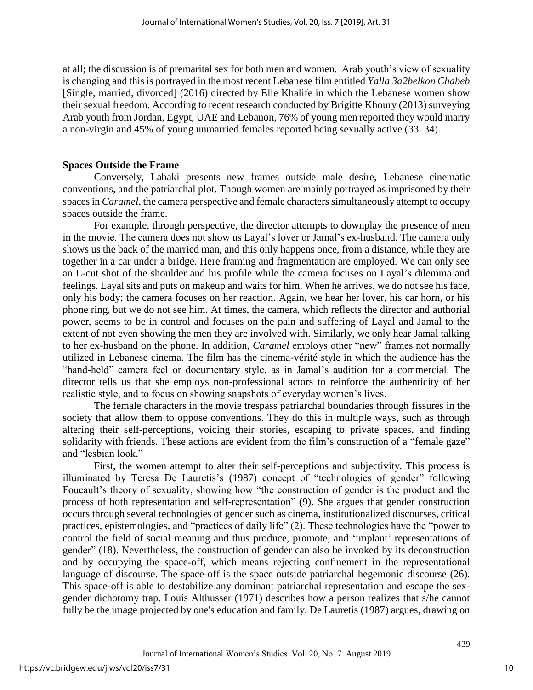at all; the discussion is of premarital sex for both men and women. Arab youth's view of sexuality is changing and this is portrayed in the most recent Lebanese film entitled *Yalla 3a2belkon Chabeb* [Single, married, divorced] (2016) directed by Elie Khalife in which the Lebanese women show their sexual freedom. According to recent research conducted by Brigitte Khoury (2013) surveying Arab youth from Jordan, Egypt, UAE and Lebanon, 76% of young men reported they would marry a non-virgin and 45% of young unmarried females reported being sexually active (33–34).

### **Spaces Outside the Frame**

Conversely, Labaki presents new frames outside male desire, Lebanese cinematic conventions, and the patriarchal plot. Though women are mainly portrayed as imprisoned by their spaces in *Caramel*, the camera perspective and female characters simultaneously attempt to occupy spaces outside the frame.

For example, through perspective, the director attempts to downplay the presence of men in the movie. The camera does not show us Layal's lover or Jamal's ex-husband. The camera only shows us the back of the married man, and this only happens once, from a distance, while they are together in a car under a bridge. Here framing and fragmentation are employed. We can only see an L-cut shot of the shoulder and his profile while the camera focuses on Layal's dilemma and feelings. Layal sits and puts on makeup and waits for him. When he arrives, we do not see his face, only his body; the camera focuses on her reaction. Again, we hear her lover, his car horn, or his phone ring, but we do not see him. At times, the camera, which reflects the director and authorial power, seems to be in control and focuses on the pain and suffering of Layal and Jamal to the extent of not even showing the men they are involved with. Similarly, we only hear Jamal talking to her ex-husband on the phone. In addition, *Caramel* employs other "new" frames not normally utilized in Lebanese cinema. The film has the cinema-vérité style in which the audience has the "hand-held" camera feel or documentary style, as in Jamal's audition for a commercial. The director tells us that she employs non-professional actors to reinforce the authenticity of her realistic style, and to focus on showing snapshots of everyday women's lives.

The female characters in the movie trespass patriarchal boundaries through fissures in the society that allow them to oppose conventions. They do this in multiple ways, such as through altering their self-perceptions, voicing their stories, escaping to private spaces, and finding solidarity with friends. These actions are evident from the film's construction of a "female gaze" and "lesbian look."

First, the women attempt to alter their self-perceptions and subjectivity. This process is illuminated by Teresa De Lauretis's (1987) concept of "technologies of gender" following Foucault's theory of sexuality, showing how "the construction of gender is the product and the process of both representation and self-representation" (9). She argues that gender construction occurs through several technologies of gender such as cinema, institutionalized discourses, critical practices, epistemologies, and "practices of daily life" (2). These technologies have the "power to control the field of social meaning and thus produce, promote, and 'implant' representations of gender" (18). Nevertheless, the construction of gender can also be invoked by its deconstruction and by occupying the space-off, which means rejecting confinement in the representational language of discourse. The space-off is the space outside patriarchal hegemonic discourse (26). This space-off is able to destabilize any dominant patriarchal representation and escape the sexgender dichotomy trap. Louis Althusser (1971) describes how a person realizes that s/he cannot fully be the image projected by one's education and family. De Lauretis (1987) argues, drawing on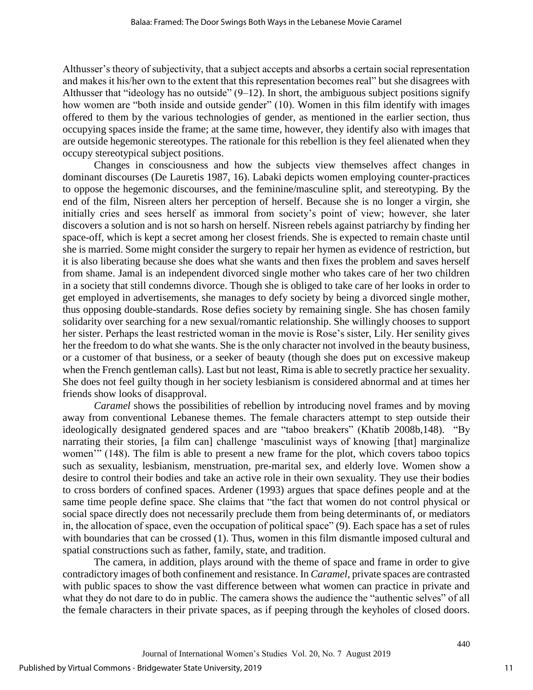Althusser's theory of subjectivity, that a subject accepts and absorbs a certain social representation and makes it his/her own to the extent that this representation becomes real" but she disagrees with Althusser that "ideology has no outside"  $(9-12)$ . In short, the ambiguous subject positions signify how women are "both inside and outside gender" (10). Women in this film identify with images offered to them by the various technologies of gender, as mentioned in the earlier section, thus occupying spaces inside the frame; at the same time, however, they identify also with images that are outside hegemonic stereotypes. The rationale for this rebellion is they feel alienated when they occupy stereotypical subject positions.

Changes in consciousness and how the subjects view themselves affect changes in dominant discourses (De Lauretis 1987, 16). Labaki depicts women employing counter-practices to oppose the hegemonic discourses, and the feminine/masculine split, and stereotyping. By the end of the film, Nisreen alters her perception of herself. Because she is no longer a virgin, she initially cries and sees herself as immoral from society's point of view; however, she later discovers a solution and is not so harsh on herself. Nisreen rebels against patriarchy by finding her space-off, which is kept a secret among her closest friends. She is expected to remain chaste until she is married. Some might consider the surgery to repair her hymen as evidence of restriction, but it is also liberating because she does what she wants and then fixes the problem and saves herself from shame. Jamal is an independent divorced single mother who takes care of her two children in a society that still condemns divorce. Though she is obliged to take care of her looks in order to get employed in advertisements, she manages to defy society by being a divorced single mother, thus opposing double-standards. Rose defies society by remaining single. She has chosen family solidarity over searching for a new sexual/romantic relationship. She willingly chooses to support her sister. Perhaps the least restricted woman in the movie is Rose's sister, Lily. Her senility gives her the freedom to do what she wants. She is the only character not involved in the beauty business, or a customer of that business, or a seeker of beauty (though she does put on excessive makeup when the French gentleman calls). Last but not least, Rima is able to secretly practice her sexuality. She does not feel guilty though in her society lesbianism is considered abnormal and at times her friends show looks of disapproval.

*Caramel* shows the possibilities of rebellion by introducing novel frames and by moving away from conventional Lebanese themes. The female characters attempt to step outside their ideologically designated gendered spaces and are "taboo breakers" (Khatib 2008b,148). "By narrating their stories, [a film can] challenge 'masculinist ways of knowing [that] marginalize women'" (148). The film is able to present a new frame for the plot, which covers taboo topics such as sexuality, lesbianism, menstruation, pre-marital sex, and elderly love. Women show a desire to control their bodies and take an active role in their own sexuality. They use their bodies to cross borders of confined spaces. Ardener (1993) argues that space defines people and at the same time people define space. She claims that "the fact that women do not control physical or social space directly does not necessarily preclude them from being determinants of, or mediators in, the allocation of space, even the occupation of political space" (9). Each space has a set of rules with boundaries that can be crossed (1). Thus, women in this film dismantle imposed cultural and spatial constructions such as father, family, state, and tradition.

The camera, in addition, plays around with the theme of space and frame in order to give contradictory images of both confinement and resistance. In *Caramel,* private spaces are contrasted with public spaces to show the vast difference between what women can practice in private and what they do not dare to do in public. The camera shows the audience the "authentic selves" of all the female characters in their private spaces, as if peeping through the keyholes of closed doors.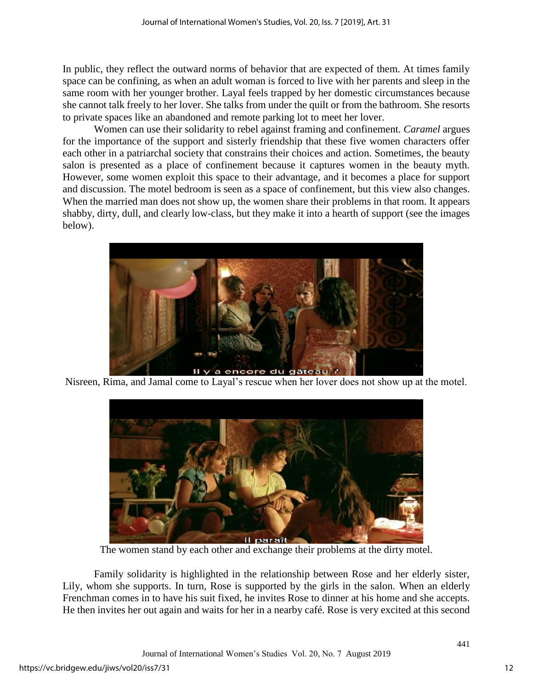In public, they reflect the outward norms of behavior that are expected of them. At times family space can be confining, as when an adult woman is forced to live with her parents and sleep in the same room with her younger brother. Layal feels trapped by her domestic circumstances because she cannot talk freely to her lover. She talks from under the quilt or from the bathroom. She resorts to private spaces like an abandoned and remote parking lot to meet her lover.

Women can use their solidarity to rebel against framing and confinement. *Caramel* argues for the importance of the support and sisterly friendship that these five women characters offer each other in a patriarchal society that constrains their choices and action. Sometimes, the beauty salon is presented as a place of confinement because it captures women in the beauty myth. However, some women exploit this space to their advantage, and it becomes a place for support and discussion. The motel bedroom is seen as a space of confinement, but this view also changes. When the married man does not show up, the women share their problems in that room. It appears shabby, dirty, dull, and clearly low-class, but they make it into a hearth of support (see the images below).



Nisreen, Rima, and Jamal come to Layal's rescue when her lover does not show up at the motel.



The women stand by each other and exchange their problems at the dirty motel.

Family solidarity is highlighted in the relationship between Rose and her elderly sister, Lily, whom she supports. In turn, Rose is supported by the girls in the salon. When an elderly Frenchman comes in to have his suit fixed, he invites Rose to dinner at his home and she accepts. He then invites her out again and waits for her in a nearby café. Rose is very excited at this second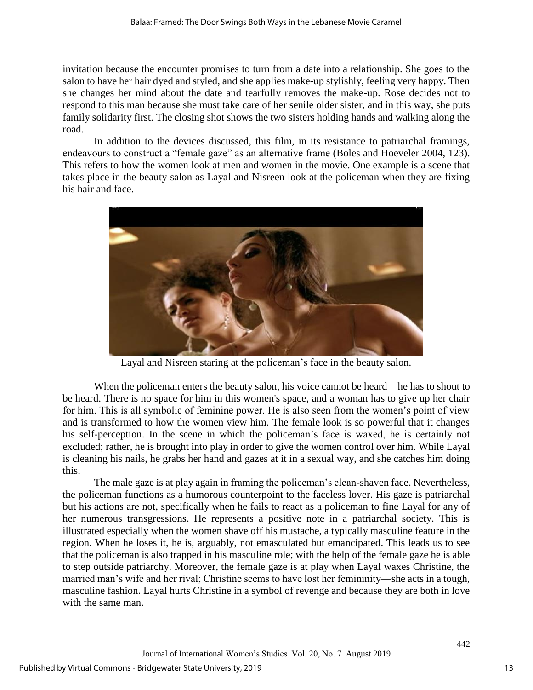invitation because the encounter promises to turn from a date into a relationship. She goes to the salon to have her hair dyed and styled, and she applies make-up stylishly, feeling very happy. Then she changes her mind about the date and tearfully removes the make-up. Rose decides not to respond to this man because she must take care of her senile older sister, and in this way, she puts family solidarity first. The closing shot shows the two sisters holding hands and walking along the road.

In addition to the devices discussed, this film, in its resistance to patriarchal framings, endeavours to construct a "female gaze" as an alternative frame (Boles and Hoeveler 2004, 123). This refers to how the women look at men and women in the movie. One example is a scene that takes place in the beauty salon as Layal and Nisreen look at the policeman when they are fixing his hair and face.



Layal and Nisreen staring at the policeman's face in the beauty salon.

When the policeman enters the beauty salon, his voice cannot be heard—he has to shout to be heard. There is no space for him in this women's space, and a woman has to give up her chair for him. This is all symbolic of feminine power. He is also seen from the women's point of view and is transformed to how the women view him. The female look is so powerful that it changes his self-perception. In the scene in which the policeman's face is waxed, he is certainly not excluded; rather, he is brought into play in order to give the women control over him. While Layal is cleaning his nails, he grabs her hand and gazes at it in a sexual way, and she catches him doing this.

The male gaze is at play again in framing the policeman's clean-shaven face. Nevertheless, the policeman functions as a humorous counterpoint to the faceless lover. His gaze is patriarchal but his actions are not, specifically when he fails to react as a policeman to fine Layal for any of her numerous transgressions. He represents a positive note in a patriarchal society. This is illustrated especially when the women shave off his mustache, a typically masculine feature in the region. When he loses it, he is, arguably, not emasculated but emancipated. This leads us to see that the policeman is also trapped in his masculine role; with the help of the female gaze he is able to step outside patriarchy. Moreover, the female gaze is at play when Layal waxes Christine, the married man's wife and her rival; Christine seems to have lost her femininity—she acts in a tough, masculine fashion. Layal hurts Christine in a symbol of revenge and because they are both in love with the same man.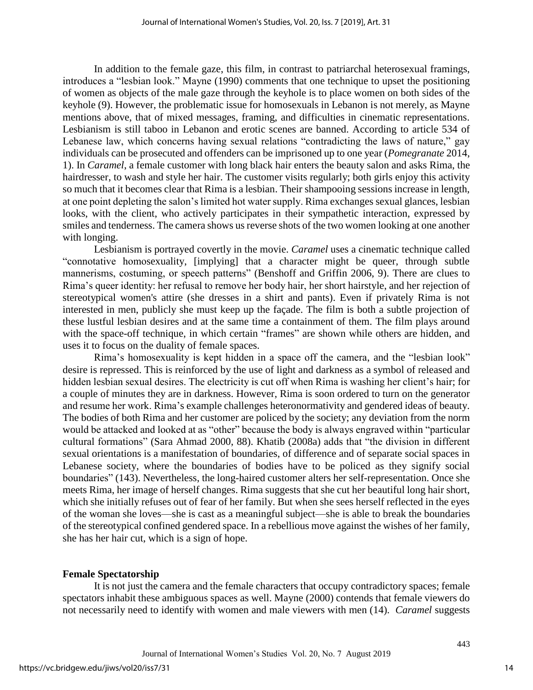In addition to the female gaze, this film, in contrast to patriarchal heterosexual framings, introduces a "lesbian look." Mayne (1990) comments that one technique to upset the positioning of women as objects of the male gaze through the keyhole is to place women on both sides of the keyhole (9). However, the problematic issue for homosexuals in Lebanon is not merely, as Mayne mentions above, that of mixed messages, framing, and difficulties in cinematic representations. Lesbianism is still taboo in Lebanon and erotic scenes are banned. According to article 534 of Lebanese law, which concerns having sexual relations "contradicting the laws of nature," gay individuals can be prosecuted and offenders can be imprisoned up to one year (*Pomegranate* 2014, 1). In *Caramel*, a female customer with long black hair enters the beauty salon and asks Rima, the hairdresser, to wash and style her hair. The customer visits regularly; both girls enjoy this activity so much that it becomes clear that Rima is a lesbian. Their shampooing sessions increase in length, at one point depleting the salon's limited hot water supply. Rima exchanges sexual glances, lesbian looks, with the client, who actively participates in their sympathetic interaction, expressed by smiles and tenderness. The camera shows us reverse shots of the two women looking at one another with longing.

Lesbianism is portrayed covertly in the movie. *Caramel* uses a cinematic technique called "connotative homosexuality, [implying] that a character might be queer, through subtle mannerisms, costuming, or speech patterns" (Benshoff and Griffin 2006, 9). There are clues to Rima's queer identity: her refusal to remove her body hair, her short hairstyle, and her rejection of stereotypical women's attire (she dresses in a shirt and pants). Even if privately Rima is not interested in men, publicly she must keep up the façade. The film is both a subtle projection of these lustful lesbian desires and at the same time a containment of them. The film plays around with the space-off technique, in which certain "frames" are shown while others are hidden, and uses it to focus on the duality of female spaces.

Rima's homosexuality is kept hidden in a space off the camera, and the "lesbian look" desire is repressed. This is reinforced by the use of light and darkness as a symbol of released and hidden lesbian sexual desires. The electricity is cut off when Rima is washing her client's hair; for a couple of minutes they are in darkness. However, Rima is soon ordered to turn on the generator and resume her work. Rima's example challenges heteronormativity and gendered ideas of beauty. The bodies of both Rima and her customer are policed by the society; any deviation from the norm would be attacked and looked at as "other" because the body is always engraved within "particular cultural formations" (Sara Ahmad 2000, 88). Khatib (2008a) adds that "the division in different sexual orientations is a manifestation of boundaries, of difference and of separate social spaces in Lebanese society, where the boundaries of bodies have to be policed as they signify social boundaries" (143). Nevertheless, the long-haired customer alters her self-representation. Once she meets Rima, her image of herself changes. Rima suggests that she cut her beautiful long hair short, which she initially refuses out of fear of her family. But when she sees herself reflected in the eyes of the woman she loves—she is cast as a meaningful subject—she is able to break the boundaries of the stereotypical confined gendered space. In a rebellious move against the wishes of her family, she has her hair cut, which is a sign of hope.

#### **Female Spectatorship**

It is not just the camera and the female characters that occupy contradictory spaces; female spectators inhabit these ambiguous spaces as well. Mayne (2000) contends that female viewers do not necessarily need to identify with women and male viewers with men (14). *Caramel* suggests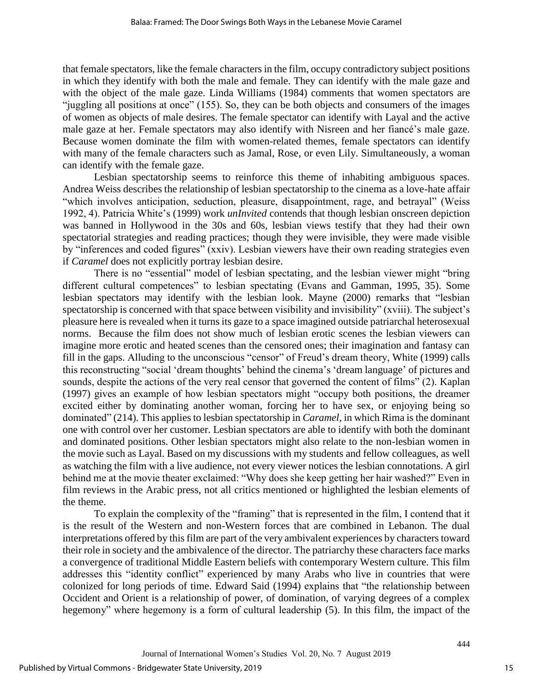that female spectators, like the female characters in the film, occupy contradictory subject positions in which they identify with both the male and female. They can identify with the male gaze and with the object of the male gaze. Linda Williams (1984) comments that women spectators are "juggling all positions at once" (155). So, they can be both objects and consumers of the images of women as objects of male desires. The female spectator can identify with Layal and the active male gaze at her. Female spectators may also identify with Nisreen and her fiancé's male gaze. Because women dominate the film with women-related themes, female spectators can identify with many of the female characters such as Jamal, Rose, or even Lily. Simultaneously, a woman can identify with the female gaze.

Lesbian spectatorship seems to reinforce this theme of inhabiting ambiguous spaces. Andrea Weiss describes the relationship of lesbian spectatorship to the cinema as a love-hate affair "which involves anticipation, seduction, pleasure, disappointment, rage, and betrayal" (Weiss 1992, 4). Patricia White's (1999) work *unInvited* contends that though lesbian onscreen depiction was banned in Hollywood in the 30s and 60s, lesbian views testify that they had their own spectatorial strategies and reading practices; though they were invisible, they were made visible by "inferences and coded figures" (xxiv). Lesbian viewers have their own reading strategies even if *Caramel* does not explicitly portray lesbian desire.

There is no "essential" model of lesbian spectating, and the lesbian viewer might "bring different cultural competences" to lesbian spectating (Evans and Gamman, 1995, 35). Some lesbian spectators may identify with the lesbian look. Mayne (2000) remarks that "lesbian spectatorship is concerned with that space between visibility and invisibility" (xviii). The subject's pleasure here is revealed when it turns its gaze to a space imagined outside patriarchal heterosexual norms. Because the film does not show much of lesbian erotic scenes the lesbian viewers can imagine more erotic and heated scenes than the censored ones; their imagination and fantasy can fill in the gaps. Alluding to the unconscious "censor" of Freud's dream theory, White (1999) calls this reconstructing "social 'dream thoughts' behind the cinema's 'dream language' of pictures and sounds, despite the actions of the very real censor that governed the content of films" (2). Kaplan (1997) gives an example of how lesbian spectators might "occupy both positions, the dreamer excited either by dominating another woman, forcing her to have sex, or enjoying being so dominated" (214). This applies to lesbian spectatorship in *Caramel*, in which Rima is the dominant one with control over her customer. Lesbian spectators are able to identify with both the dominant and dominated positions. Other lesbian spectators might also relate to the non-lesbian women in the movie such as Layal. Based on my discussions with my students and fellow colleagues, as well as watching the film with a live audience, not every viewer notices the lesbian connotations. A girl behind me at the movie theater exclaimed: "Why does she keep getting her hair washed?" Even in film reviews in the Arabic press, not all critics mentioned or highlighted the lesbian elements of the theme.

To explain the complexity of the "framing" that is represented in the film, I contend that it is the result of the Western and non-Western forces that are combined in Lebanon. The dual interpretations offered by this film are part of the very ambivalent experiences by characters toward their role in society and the ambivalence of the director. The patriarchy these characters face marks a convergence of traditional Middle Eastern beliefs with contemporary Western culture. This film addresses this "identity conflict" experienced by many Arabs who live in countries that were colonized for long periods of time. Edward Said (1994) explains that "the relationship between Occident and Orient is a relationship of power, of domination, of varying degrees of a complex hegemony" where hegemony is a form of cultural leadership (5). In this film, the impact of the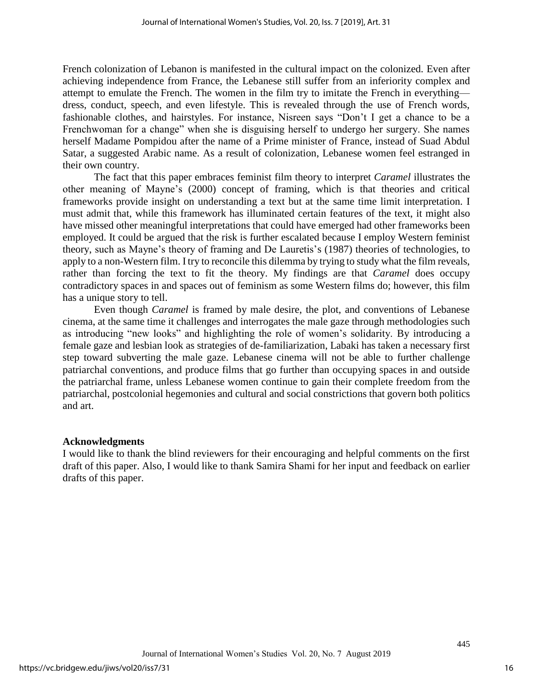French colonization of Lebanon is manifested in the cultural impact on the colonized. Even after achieving independence from France, the Lebanese still suffer from an inferiority complex and attempt to emulate the French. The women in the film try to imitate the French in everything dress, conduct, speech, and even lifestyle. This is revealed through the use of French words, fashionable clothes, and hairstyles. For instance, Nisreen says "Don't I get a chance to be a Frenchwoman for a change" when she is disguising herself to undergo her surgery. She names herself Madame Pompidou after the name of a Prime minister of France, instead of Suad Abdul Satar, a suggested Arabic name. As a result of colonization, Lebanese women feel estranged in their own country.

The fact that this paper embraces feminist film theory to interpret *Caramel* illustrates the other meaning of Mayne's (2000) concept of framing, which is that theories and critical frameworks provide insight on understanding a text but at the same time limit interpretation. I must admit that, while this framework has illuminated certain features of the text, it might also have missed other meaningful interpretations that could have emerged had other frameworks been employed. It could be argued that the risk is further escalated because I employ Western feminist theory, such as Mayne's theory of framing and De Lauretis's (1987) theories of technologies, to apply to a non-Western film. I try to reconcile this dilemma by trying to study what the film reveals, rather than forcing the text to fit the theory. My findings are that *Caramel* does occupy contradictory spaces in and spaces out of feminism as some Western films do; however, this film has a unique story to tell.

Even though *Caramel* is framed by male desire, the plot, and conventions of Lebanese cinema, at the same time it challenges and interrogates the male gaze through methodologies such as introducing "new looks" and highlighting the role of women's solidarity. By introducing a female gaze and lesbian look as strategies of de-familiarization, Labaki has taken a necessary first step toward subverting the male gaze. Lebanese cinema will not be able to further challenge patriarchal conventions, and produce films that go further than occupying spaces in and outside the patriarchal frame, unless Lebanese women continue to gain their complete freedom from the patriarchal, postcolonial hegemonies and cultural and social constrictions that govern both politics and art.

## **Acknowledgments**

I would like to thank the blind reviewers for their encouraging and helpful comments on the first draft of this paper. Also, I would like to thank Samira Shami for her input and feedback on earlier drafts of this paper.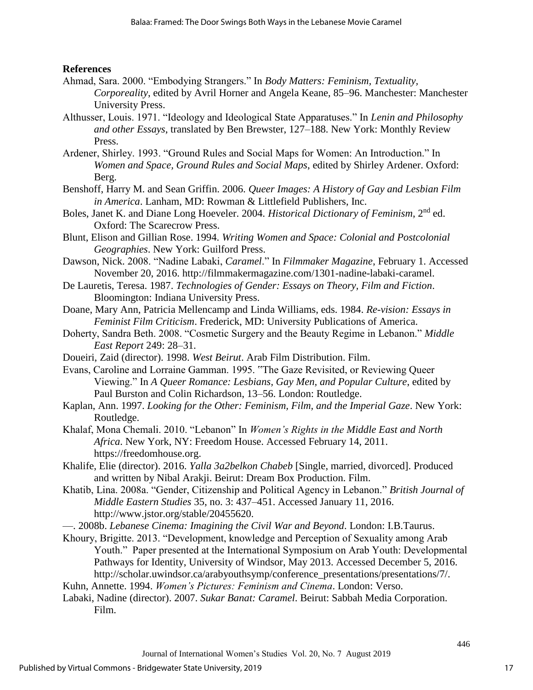# **References**

- Ahmad, Sara. 2000. "Embodying Strangers." In *Body Matters: Feminism, Textuality, Corporeality*, edited by Avril Horner and Angela Keane, 85–96. Manchester: Manchester University Press.
- Althusser, Louis. 1971. "Ideology and Ideological State Apparatuses." In *Lenin and Philosophy and other Essays*, translated by Ben Brewster, 127–188. New York: Monthly Review Press.
- Ardener, Shirley. 1993. "Ground Rules and Social Maps for Women: An Introduction." In *Women and Space, Ground Rules and Social Maps*, edited by Shirley Ardener. Oxford: Berg.
- Benshoff, Harry M. and Sean Griffin. 2006. *Queer Images: A History of Gay and Lesbian Film in America*. Lanham, MD: Rowman & Littlefield Publishers, Inc.
- Boles, Janet K. and Diane Long Hoeveler. 2004. *Historical Dictionary of Feminism*, 2nd ed. Oxford: The Scarecrow Press.
- Blunt, Elison and Gillian Rose. 1994. *Writing Women and Space: Colonial and Postcolonial Geographies*. New York: Guilford Press.
- Dawson, Nick. 2008. "Nadine Labaki, *Caramel*." In *Filmmaker Magazine*, February 1. Accessed November 20, 2016. http://filmmakermagazine.com/1301-nadine-labaki-caramel.
- De Lauretis, Teresa. 1987. *Technologies of Gender: Essays on Theory, Film and Fiction*. Bloomington: Indiana University Press.
- Doane, Mary Ann, Patricia Mellencamp and Linda Williams, eds. 1984. *Re-vision: Essays in Feminist Film Criticism*. Frederick, MD: University Publications of America.
- Doherty, Sandra Beth. 2008. "Cosmetic Surgery and the Beauty Regime in Lebanon." *Middle East Report* 249: 28–31.
- Doueiri, Zaid (director). 1998. *West Beirut*. Arab Film Distribution. Film.
- Evans, Caroline and Lorraine Gamman. 1995. "The Gaze Revisited, or Reviewing Queer Viewing." In *A Queer Romance: Lesbians, Gay Men, and Popular Culture*, edited by Paul Burston and Colin Richardson, 13–56. London: Routledge.
- Kaplan, Ann. 1997. *Looking for the Other: Feminism, Film, and the Imperial Gaze*. New York: Routledge.
- Khalaf, Mona Chemali. 2010. "Lebanon" In *Women's Rights in the Middle East and North Africa*. New York, NY: Freedom House. Accessed February 14, 2011. https://freedomhouse.org.
- Khalife, Elie (director). 2016. *Yalla 3a2belkon Chabeb* [Single, married, divorced]. Produced and written by Nibal Arakji. Beirut: Dream Box Production. Film.
- Khatib, Lina. 2008a. "Gender, Citizenship and Political Agency in Lebanon." *British Journal of Middle Eastern Studies* 35, no. 3: 437–451. Accessed January 11, 2016. http://www.jstor.org/stable/20455620.
- —. 2008b. *Lebanese Cinema: Imagining the Civil War and Beyond*. London: I.B.Taurus.
- Khoury, Brigitte. 2013. "Development, knowledge and Perception of Sexuality among Arab Youth." Paper presented at the International Symposium on Arab Youth: Developmental Pathways for Identity, University of Windsor, May 2013. Accessed December 5, 2016. http://scholar.uwindsor.ca/arabyouthsymp/conference\_presentations/presentations/7/.
- Kuhn, Annette. 1994. *Women's Pictures: Feminism and Cinema*. London: Verso.
- Labaki, Nadine (director). 2007. *Sukar Banat: Caramel*. Beirut: Sabbah Media Corporation. Film.